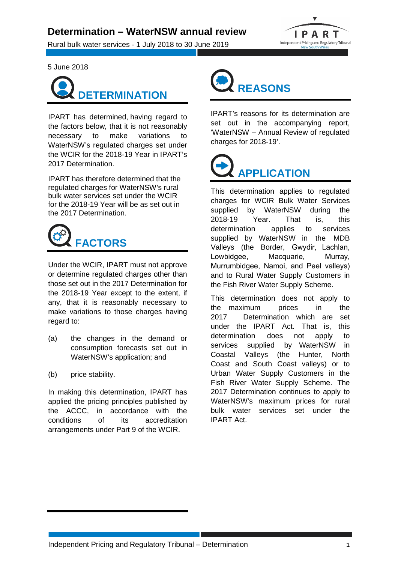## **Determination – WaterNSW annual review**

Rural bulk water services - 1 July 2018 to 30 June 2019



5 June 2018



IPART has determined, having regard to the factors below, that it is not reasonably necessary to make variations to WaterNSW's regulated charges set under the WCIR for the 2018-19 Year in IPART's 2017 Determination.

IPART has therefore determined that the regulated charges for WaterNSW's rural bulk water services set under the WCIR for the 2018-19 Year will be as set out in the 2017 Determination.



Under the WCIR, IPART must not approve or determine regulated charges other than those set out in the 2017 Determination for the 2018-19 Year except to the extent, if any, that it is reasonably necessary to make variations to those charges having regard to:

- (a) the changes in the demand or consumption forecasts set out in WaterNSW's application; and
- (b) price stability.

In making this determination, IPART has applied the pricing principles published by the ACCC, in accordance with the conditions of its accreditation arrangements under Part 9 of the WCIR.



IPART's reasons for its determination are set out in the accompanying report, 'WaterNSW – Annual Review of regulated charges for 2018-19'.



This determination applies to regulated charges for WCIR Bulk Water Services supplied by WaterNSW during the 2018-19 Year. That is, this determination applies to services supplied by WaterNSW in the MDB Valleys (the Border, Gwydir, Lachlan, Lowbidgee, Macquarie, Murray, Murrumbidgee, Namoi, and Peel valleys) and to Rural Water Supply Customers in the Fish River Water Supply Scheme.

This determination does not apply to the maximum prices in the 2017 Determination which are set under the IPART Act. That is, this determination does not apply to services supplied by WaterNSW in Coastal Valleys (the Hunter, North Coast and South Coast valleys) or to Urban Water Supply Customers in the Fish River Water Supply Scheme. The 2017 Determination continues to apply to WaterNSW's maximum prices for rural bulk water services set under the IPART Act.